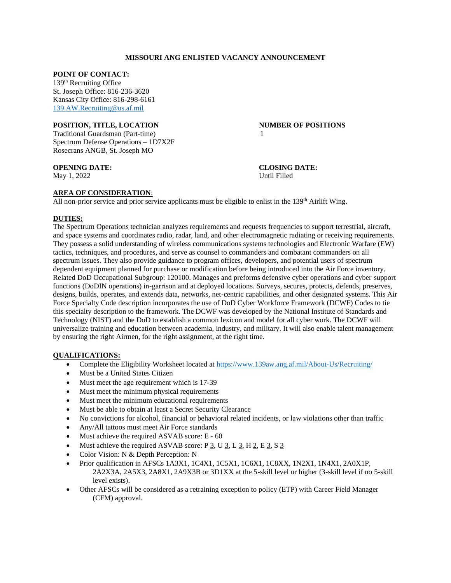### **MISSOURI ANG ENLISTED VACANCY ANNOUNCEMENT**

#### **POINT OF CONTACT:**

139th Recruiting Office St. Joseph Office: 816-236-3620 Kansas City Office: 816-298-6161 [139.AW.Recruiting@us.af.mil](mailto:139.AW.Recruiting@us.af.mil)

#### **POSITION, TITLE, LOCATION NUMBER OF POSITIONS**

Traditional Guardsman (Part-time) 1 Spectrum Defense Operations – 1D7X2F Rosecrans ANGB, St. Joseph MO

**OPENING DATE: CLOSING DATE:** May 1, 2022 Until Filled

### **AREA OF CONSIDERATION**:

All non-prior service and prior service applicants must be eligible to enlist in the 139<sup>th</sup> Airlift Wing.

### **DUTIES:**

The Spectrum Operations technician analyzes requirements and requests frequencies to support terrestrial, aircraft, and space systems and coordinates radio, radar, land, and other electromagnetic radiating or receiving requirements. They possess a solid understanding of wireless communications systems technologies and Electronic Warfare (EW) tactics, techniques, and procedures, and serve as counsel to commanders and combatant commanders on all spectrum issues. They also provide guidance to program offices, developers, and potential users of spectrum dependent equipment planned for purchase or modification before being introduced into the Air Force inventory. Related DoD Occupational Subgroup: 120100. Manages and preforms defensive cyber operations and cyber support functions (DoDIN operations) in-garrison and at deployed locations. Surveys, secures, protects, defends, preserves, designs, builds, operates, and extends data, networks, net-centric capabilities, and other designated systems. This Air Force Specialty Code description incorporates the use of DoD Cyber Workforce Framework (DCWF) Codes to tie this specialty description to the framework. The DCWF was developed by the National Institute of Standards and Technology (NIST) and the DoD to establish a common lexicon and model for all cyber work. The DCWF will universalize training and education between academia, industry, and military. It will also enable talent management by ensuring the right Airmen, for the right assignment, at the right time.

#### **QUALIFICATIONS:**

- Complete the Eligibility Worksheet located at<https://www.139aw.ang.af.mil/About-Us/Recruiting/>
- Must be a United States Citizen
- Must meet the age requirement which is 17-39
- Must meet the minimum physical requirements
- Must meet the minimum educational requirements
- Must be able to obtain at least a Secret Security Clearance
- No convictions for alcohol, financial or behavioral related incidents, or law violations other than traffic
- Any/All tattoos must meet Air Force standards
- Must achieve the required ASVAB score: E 60
- Must achieve the required ASVAB score:  $P \underline{3}$ , U $\underline{3}$ , L $\underline{3}$ , H $\underline{2}$ , E $\underline{3}$ , S $\underline{3}$
- Color Vision: N & Depth Perception: N
- Prior qualification in AFSCs 1A3X1, 1C4X1, 1C5X1, 1C6X1, 1C8XX, 1N2X1, 1N4X1, 2A0X1P, 2A2X3A, 2A5X3, 2A8X1, 2A9X3B or 3D1XX at the 5-skill level or higher (3-skill level if no 5-skill level exists).
- Other AFSCs will be considered as a retraining exception to policy (ETP) with Career Field Manager (CFM) approval.